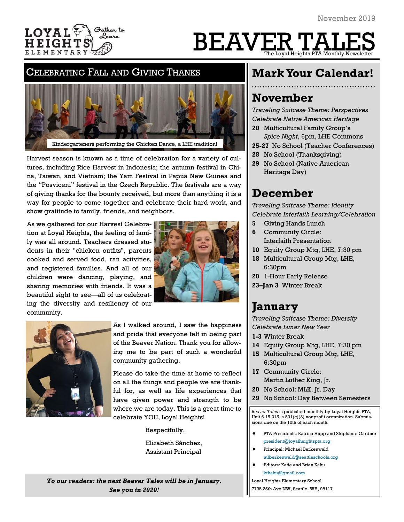

# BEAVER TALES The Loyal Heights PTA Monthly Newsletter

#### CELEBRATING FALL AND GIVING THANKS



Harvest season is known as a time of celebration for a variety of cultures, including Rice Harvest in Indonesia; the autumn festival in China, Taiwan, and Vietnam; the Yam Festival in Papua New Guinea and the "Posviceni" festival in the Czech Republic. The festivals are a way of giving thanks for the bounty received, but more than anything it is a way for people to come together and celebrate their hard work, and show gratitude to family, friends, and neighbors.

As we gathered for our Harvest Celebration at Loyal Heights, the feeling of family was all around. Teachers dressed students in their "chicken outfits", parents cooked and served food, ran activities, and registered families. And all of our children were dancing, playing, and sharing memories with friends. It was a beautiful sight to see—all of us celebrating the diversity and resiliency of our community.





As I walked around, I saw the happiness and pride that everyone felt in being part of the Beaver Nation. Thank you for allowing me to be part of such a wonderful community gathering.

Please do take the time at home to reflect on all the things and people we are thankful for, as well as life experiences that have given power and strength to be where we are today. This is a great time to celebrate YOU, Loyal Heights!

Respectfully,

Elizabeth Sánchez, Assistant Principal

## **Mark Your Calendar!**

## **November**

*Traveling Suitcase Theme: Perspectives Celebrate Native American Heritage*

- **20** Multicultural Family Group's *Spice Night*, 6pm, LHE Commons
- **25-27** No School (Teacher Conferences)
- **28** No School (Thanksgiving)
- **29** No School (Native American Heritage Day)

## **December**

*Traveling Suitcase Theme: Identity Celebrate Interfaith Learning/Celebration*

- **5** Giving Hands Lunch
- **6** Community Circle: Interfaith Presentation
- **10** Equity Group Mtg, LHE, 7:30 pm
- **18** Multicultural Group Mtg, LHE, 6:30pm
- **20** 1-Hour Early Release
- **23–Jan 3** Winter Break

## **January**

*Traveling Suitcase Theme: Diversity Celebrate Lunar New Year*

- **1-3** Winter Break
- **14** Equity Group Mtg, LHE, 7:30 pm
- **15** Multicultural Group Mtg, LHE, 6:30pm
- **17** Community Circle: Martin Luther King, Jr.
- **20** No School: MLK, Jr. Day
- **29** No School: Day Between Semesters

*Beaver Tales* is published monthly by Loyal Heights PTA, Unit 6.15.215, a 501(c)(3) nonprofit organization. Submissions due on the 10th of each month.

- PTA Presidents: Katrina Hupp and Stephanie Gardner [president@loyalheightspta.org](mailto:president@loyalheightspta.org)
- Principal: Michael Berkenwald [mlberkenwald@seattleschools.org](mailto:mlberkenwald@seattleschools.org)
- Editors: Katie and Brian Kaku [ktkaku@gmail.com](mailto:ktkaku@gmail.com)

Loyal Heights Elementary School

7735 25th Ave NW, Seattle, WA, 98117

*To our readers: the next Beaver Tales will be in January. See you in 2020!*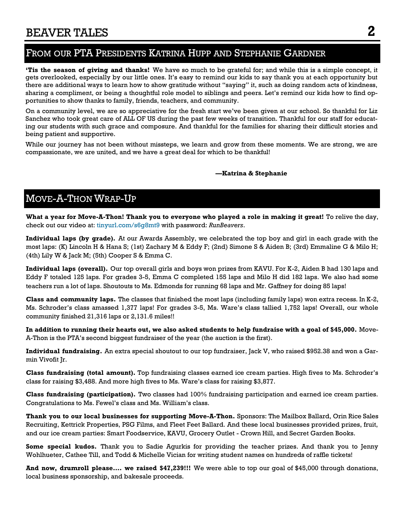## FROM OUR PTA PRESIDENTS KATRINA HUPP AND STEPHANIE GARDNER

**'Tis the season of giving and thanks!** We have so much to be grateful for; and while this is a simple concept, it gets overlooked, especially by our little ones. It's easy to remind our kids to say thank you at each opportunity but there are additional ways to learn how to show gratitude without "saying" it, such as doing random acts of kindness, sharing a compliment, or being a thoughtful role model to siblings and peers. Let's remind our kids how to find opportunities to show thanks to family, friends, teachers, and community.

On a community level, we are so appreciative for the fresh start we've been given at our school. So thankful for Liz Sanchez who took great care of ALL OF US during the past few weeks of transition. Thankful for our staff for educating our students with such grace and composure. And thankful for the families for sharing their difficult stories and being patient and supportive.

While our journey has not been without missteps, we learn and grow from these moments. We are strong, we are compassionate, we are united, and we have a great deal for which to be thankful!

#### **—Katrina & Stephanie**

## MOVE-A-THONWRAP-UP

**What a year for Move-A-Thon! Thank you to everyone who played a role in making it great!** To relive the day, check out our video at: [tinyurl.com/s6g8mt9](https://tinyurl.com/s6g8mt9) with password: *RunBeavers*.

**Individual laps (by grade).** At our Awards Assembly, we celebrated the top boy and girl in each grade with the most laps: (K) Lincoln H & Hana S; (1st) Zachary M & Eddy F; (2nd) Simone S & Aiden B; (3rd) Emmaline G & Milo H; (4th) Lily W & Jack M; (5th) Cooper S & Emma C.

**Individual laps (overall).** Our top overall girls and boys won prizes from KAVU. For K-2, Aiden B had 130 laps and Eddy F totaled 125 laps. For grades 3-5, Emma C completed 155 laps and Milo H did 182 laps. We also had some teachers run a lot of laps. Shoutouts to Ms. Edmonds for running 68 laps and Mr. Gaffney for doing 85 laps!

**Class and community laps.** The classes that finished the most laps (including family laps) won extra recess. In K-2, Ms. Schroder's class amassed 1,377 laps! For grades 3-5, Ms. Ware's class tallied 1,752 laps! Overall, our whole community finished 21,316 laps or 2,131.6 miles!!

**In addition to running their hearts out, we also asked students to help fundraise with a goal of \$45,000.** Move-A-Thon is the PTA's second biggest fundraiser of the year (the auction is the first).

**Individual fundraising.** An extra special shoutout to our top fundraiser, Jack V, who raised \$952.38 and won a Garmin Vivofit Jr.

**Class fundraising (total amount).** Top fundraising classes earned ice cream parties. High fives to Ms. Schroder's class for raising \$3,488. And more high fives to Ms. Ware's class for raising \$3,877.

**Class fundraising (participation).** Two classes had 100% fundraising participation and earned ice cream parties. Congratulations to Ms. Fewel's class and Ms. William's class.

**Thank you to our local businesses for supporting Move-A-Thon.** Sponsors: The Mailbox Ballard, Orin Rice Sales Recruiting, Kettrick Properties, PSG Films, and Fleet Feet Ballard. And these local businesses provided prizes, fruit, and our ice cream parties: Smart Foodservice, KAVU, Grocery Outlet - Crown Hill, and Secret Garden Books.

**Some special kudos.** Thank you to Sadie Agurkis for providing the teacher prizes. And thank you to Jenny Wohlhueter, Cathee Till, and Todd & Michelle Vician for writing student names on hundreds of raffle tickets!

**And now, drumroll please…. we raised \$47,239!!!** We were able to top our goal of \$45,000 through donations, local business sponsorship, and bakesale proceeds.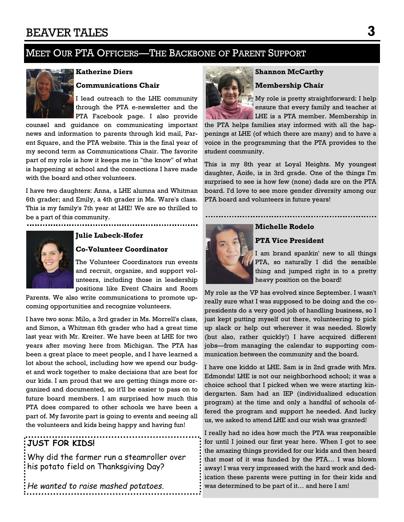## BEAVER TALES **3**

## MEET OUR PTA OFFICERS—THE BACKBONE OF PARENT SUPPORT



#### **Katherine Diers**

#### **Communications Chair**

I lead outreach to the LHE community through the PTA e-newsletter and the PTA Facebook page. I also provide

counsel and guidance on communicating important news and information to parents through kid mail, Parent Square, and the PTA website. This is the final year of my second term as Communications Chair. The favorite part of my role is how it keeps me in "the know" of what is happening at school and the connections I have made with the board and other volunteers.

I have two daughters: Anna, a LHE alumna and Whitman 6th grader; and Emily, a 4th grader in Ms. Ware's class. This is my family's 7th year at LHE! We are so thrilled to be a part of this community.



#### **Julie Lubeck-Hofer**

#### **Co-Volunteer Coordinator**

The Volunteer Coordinators run events and recruit, organize, and support volunteers, including those in leadership positions like Event Chairs and Room

Parents. We also write communications to promote upcoming opportunities and recognize volunteers.

I have two sons: Milo, a 3rd grader in Ms. Morrell's class, and Simon, a Whitman 6th grader who had a great time last year with Mr. Kreiter. We have been at LHE for two years after moving here from Michigan. The PTA has been a great place to meet people, and I have learned a lot about the school, including how we spend our budget and work together to make decisions that are best for our kids. I am proud that we are getting things more organized and documented, so it'll be easier to pass on to future board members. I am surprised how much this PTA does compared to other schools we have been a part of. My favorite part is going to events and seeing all the volunteers and kids being happy and having fun!

#### **JUST FOR KIDS!**

Why did the farmer run a steamroller over his potato field on Thanksgiving Day?

*He wanted to raise mashed potatoes.*



## **Shannon McCarthy**

**Membership Chair**

My role is pretty straightforward: I help ensure that every family and teacher at LHE is a PTA member. Membership in

the PTA helps families stay informed with all the happenings at LHE (of which there are many) and to have a voice in the programming that the PTA provides to the student community.

This is my 8th year at Loyal Heights. My youngest daughter, Aoife, is in 3rd grade. One of the things I'm surprised to see is how few (none) dads are on the PTA board. I'd love to see more gender diversity among our PTA board and volunteers in future years!



#### **PTA Vice President**

I am brand spankin' new to all things PTA, so naturally I did the sensible thing and jumped right in to a pretty heavy position on the board!

My role as the VP has evolved since September. I wasn't really sure what I was supposed to be doing and the copresidents do a very good job of handling business, so I just kept putting myself out there, volunteering to pick up slack or help out wherever it was needed. Slowly (but also, rather quickly!) I have acquired different jobs—from managing the calendar to supporting communication between the community and the board.

I have one kiddo at LHE. Sam is in 2nd grade with Mrs. Edmonds! LHE is not our neighborhood school; it was a choice school that I picked when we were starting kindergarten. Sam had an IEP (individualized education program) at the time and only a handful of schools offered the program and support he needed. And lucky us, we asked to attend LHE and our wish was granted!

I really had no idea how much the PTA was responsible for until I joined our first year here. When I got to see the amazing things provided for our kids and then heard that most of it was funded by the PTA… I was blown away! I was very impressed with the hard work and dedication these parents were putting in for their kids and was determined to be part of it… and here I am!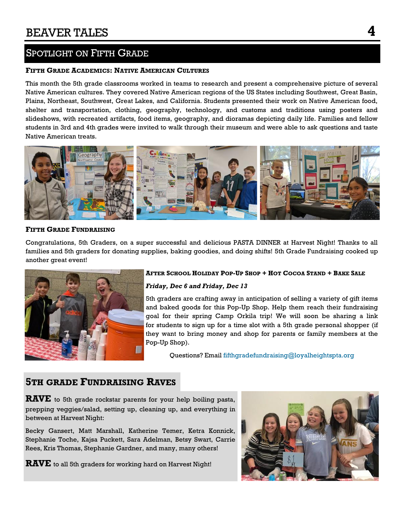## SPOTLIGHT ON FIFTH GRADE

#### **FIFTH GRADE ACADEMICS: NATIVE AMERICAN CULTURES**

This month the 5th grade classrooms worked in teams to research and present a comprehensive picture of several Native American cultures. They covered Native American regions of the US States including Southwest, Great Basin, Plains, Northeast, Southwest, Great Lakes, and California. Students presented their work on Native American food, shelter and transportation, clothing, geography, technology, and customs and traditions using posters and slideshows, with recreated artifacts, food items, geography, and dioramas depicting daily life. Families and fellow students in 3rd and 4th grades were invited to walk through their museum and were able to ask questions and taste Native American treats.



#### **FIFTH GRADE FUNDRAISING**

Congratulations, 5th Graders, on a super successful and delicious PASTA DINNER at Harvest Night! Thanks to all families and 5th graders for donating supplies, baking goodies, and doing shifts! 5th Grade Fundraising cooked up another great event!



#### **AFTER SCHOOL HOLIDAY POP-UP SHOP + HOT COCOA STAND + BAKE SALE**

#### *Friday, Dec 6 and Friday, Dec 13*

5th graders are crafting away in anticipation of selling a variety of gift items and baked goods for this Pop-Up Shop. Help them reach their fundraising goal for their spring Camp Orkila trip! We will soon be sharing a link for students to sign up for a time slot with a 5th grade personal shopper (if they want to bring money and shop for parents or family members at the Pop-Up Shop).

Questions? Email [fifthgradefundraising@loyalheightspta.org](mailto:%20fifthgradefundraising@loyalheightspta.org)

#### **5TH GRADE FUNDRAISING RAVES**

**RAVE** to 5th grade rockstar parents for your help boiling pasta, prepping veggies/salad, setting up, cleaning up, and everything in between at Harvest Night:

Becky Gansert, Matt Marshall, Katherine Temer, Ketra Konnick, Stephanie Toche, Kajsa Puckett, Sara Adelman, Betsy Swart, Carrie Rees, Kris Thomas, Stephanie Gardner, and many, many others!

**RAVE** to all 5th graders for working hard on Harvest Night!

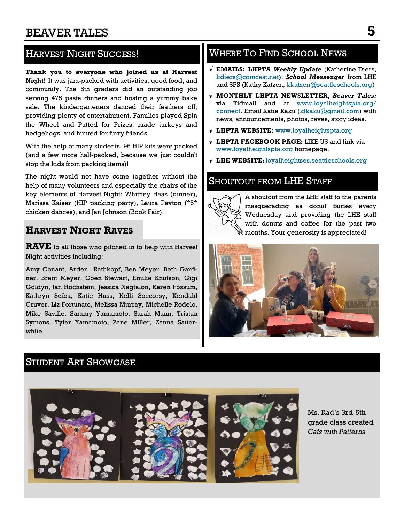## HARVEST NIGHT SUCCESS!

**Thank you to everyone who joined us at Harvest Night!** It was jam-packed with activities, good food, and community. The 5th graders did an outstanding job serving 475 pasta dinners and hosting a yummy bake sale. The kindergarteners danced their feathers off, providing plenty of entertainment. Families played Spin the Wheel and Putted for Prizes, made turkeys and hedgehogs, and hunted for furry friends.

With the help of many students, 96 HIP kits were packed (and a few more half-packed, because we just couldn't stop the kids from packing items)!

The night would not have come together without the help of many volunteers and especially the chairs of the key elements of Harvest Night: Whitney Haas (dinner), Marissa Kaiser (HIP packing party), Laura Payton (\*5\* chicken dances), and Jan Johnson (Book Fair).

### **HARVEST NIGHT RAVES**

**RAVE** to all those who pitched in to help with Harvest Night activities including:

Amy Conant, Arden Rathkopf, Ben Meyer, Beth Gardner, Brent Meyer, Coen Stewart, Emilie Knutson, Gigi Goldyn, Ian Hochstein, Jessica Nagtalon, Karen Fossum, Kathryn Sciba, Katie Huss, Kelli Soccorsy, Kendahl Cruver, Liz Fortunato, Melissa Murray, Michelle Rodelo, Mike Saville, Sammy Yamamoto, Sarah Mann, Tristan Symons, Tyler Yamamoto, Zane Miller, Zanna Satterwhite

## STUDENT ART SHOWCASE

#### via Kidmail and at [www.loyalheightspta.org/](http://www.loyalheightspta.org/connect) [connect.](http://www.loyalheightspta.org/connect) Email Katie Kaku ([ktkaku@gmail.com\)](mailto:ktkaku@gmail.com) with news, announcements, photos, raves, story ideas.

- √ **LHPTA WEBSITE:** [www.loyalheightspta.org](http://www.loyalheightspta.org)
- √ **LHPTA FACEBOOK PAGE:** LIKE US and link via [www.loyalheightspta.org](http://www.loyalheightspta.org) homepage.

√ **EMAILS: LHPTA** *Weekly Update* (Katherine Diers, [kdiers@comcast.net\)](mailto:kdiers@comcast.net); *School Messenger* from LHE and SPS (Kathy Katzen, [kkatzen@seattleschools.org\)](mailto:kkatzen@seattleschools.org) √ **MONTHLY LHPTA NEWSLETTER,** *Beaver Tales:* 

WHERE TO FIND SCHOOL NEWS

√ **LHE WEBSITE:** <loyalheightses.seattleschools.org>

#### SHOUTOUT FROM LHE STAFF



A shoutout from the LHE staff to the parents masquerading as donut fairies every Wednesday and providing the LHE staff with donuts and coffee for the past two months. Your generosity is appreciated!





Ms. Rad's 3rd-5th grade class created *Cats with Patterns*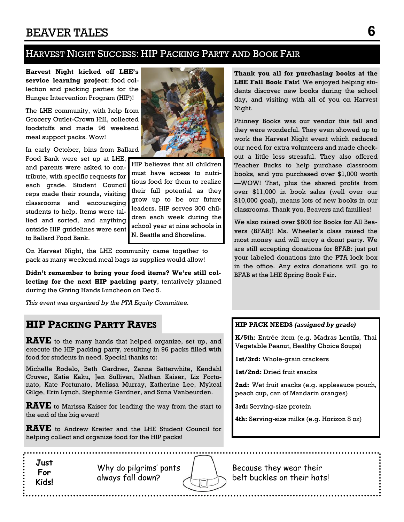## BEAVER TALES **6**

## HARVEST NIGHT SUCCESS: HIP PACKING PARTY AND BOOK FAIR

**Harvest Night kicked off LHE's service learning project**: food collection and packing parties for the Hunger Intervention Program (HIP)!

The LHE community, with help from Grocery Outlet-Crown Hill, collected foodstuffs and made 96 weekend meal support packs. Wow!

In early October, bins from Ballard

Food Bank were set up at LHE, and parents were asked to contribute, with specific requests for each grade. Student Council reps made their rounds, visiting classrooms and encouraging students to help. Items were tallied and sorted, and anything outside HIP guidelines were sent to Ballard Food Bank.



HIP believes that all children must have access to nutritious food for them to realize their full potential as they grow up to be our future leaders. HIP serves 300 children each week during the school year at nine schools in N. Seattle and Shoreline.

On Harvest Night, the LHE community came together to pack as many weekend meal bags as supplies would allow!

**Didn't remember to bring your food items? We're still collecting for the next HIP packing party**, tentatively planned during the Giving Hands Luncheon on Dec 5.

*This event was organized by the PTA Equity Committee.*

#### **HIP PACKING PARTY RAVES**

**RAVE** to the many hands that helped organize, set up, and execute the HIP packing party, resulting in 96 packs filled with food for students in need. Special thanks to:

Michelle Rodelo, Beth Gardner, Zanna Satterwhite, Kendahl Cruver, Katie Kaku, Jen Sullivan, Nathan Kaiser, Liz Fortunato, Kate Fortunato, Melissa Murray, Katherine Lee, Mykcal Gilge, Erin Lynch, Stephanie Gardner, and Suna Vanbeurden.

**RAVE** to Marissa Kaiser for leading the way from the start to the end of the big event!

**RAVE** to Andrew Kreiter and the LHE Student Council for helping collect and organize food for the HIP packs!

**Just For Kids!**

Why do pilgrims' pants always fall down?

**Thank you all for purchasing books at the LHE Fall Book Fair!** We enjoyed helping students discover new books during the school day, and visiting with all of you on Harvest Night.

Phinney Books was our vendor this fall and they were wonderful. They even showed up to work the Harvest Night event which reduced our need for extra volunteers and made checkout a little less stressful. They also offered Teacher Bucks to help purchase classroom books, and you purchased over \$1,000 worth —WOW! That, plus the shared profits from over \$11,000 in book sales (well over our \$10,000 goal), means lots of new books in our classrooms. Thank you, Beavers and families!

We also raised over \$800 for Books for All Beavers (BFAB)! Ms. Wheeler's class raised the most money and will enjoy a donut party. We are still accepting donations for BFAB: just put your labeled donations into the PTA lock box in the office. Any extra donations will go to BFAB at the LHE Spring Book Fair.

#### **HIP PACK NEEDS** *(assigned by grade)*

**K/5th**: Entrée item (e.g. Madras Lentils, Thai Vegetable Peanut, Healthy Choice Soups)

**1st/3rd:** Whole-grain crackers

**1st/2nd:** Dried fruit snacks

**2nd:** Wet fruit snacks (e.g. applesauce pouch, peach cup, can of Mandarin oranges)

**3rd:** Serving-size protein

**4th:** Serving-size milks (e.g. Horizon 8 oz)

Because they wear their belt buckles on their hats!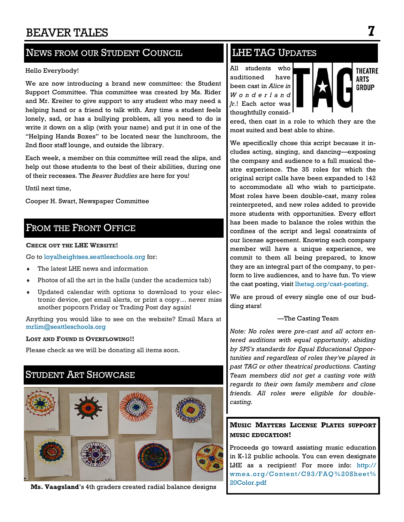## BEAVER TALES **7**

## NEWS FROM OUR STUDENT COUNCIL

#### Hello Everybody!

We are now introducing a brand new committee: the Student Support Committee. This committee was created by Ms. Rider and Mr. Kreiter to give support to any student who may need a helping hand or a friend to talk with. Any time a student feels lonely, sad, or has a bullying problem, all you need to do is write it down on a slip (with your name) and put it in one of the "Helping Hands Boxes" to be located near the lunchroom, the 2nd floor staff lounge, and outside the library.

Each week, a member on this committee will read the slips, and help out those students to the best of their abilities, during one of their recesses. The *Beaver Buddies* are here for you!

Until next time,

Cooper H. Swart, Newspaper Committee

#### FROM THE FRONT OFFICE

#### **CHECK OUT THE LHE WEBSITE!**

Go to <loyalheightses.seattleschools.org> for:

- The latest LHE news and information
- Photos of all the art in the halls (under the academics tab)
- Updated calendar with options to download to your electronic device, get email alerts, or print a copy… never miss another popcorn Friday or Trading Post day again!

Anything you would like to see on the website? Email Mara at [mrlim@seattleschools.org](mailto:mrlim@seattleschools.org)

#### **LOST AND FOUND IS OVERFLOWING!!**

Please check as we will be donating all items soon.



**Ms. Vaagsland**'s 4th graders created radial balance designs

## LHE TAG UPDATES

All students who auditioned have been cast in *Alice in W o n d e r l a n d Jr.*! Each actor was thoughtfully consid-



ered, then cast in a role to which they are the most suited and best able to shine.

We specifically chose this script because it includes acting, singing, and dancing—exposing the company and audience to a full musical theatre experience. The 35 roles for which the original script calls have been expanded to 142 to accommodate all who wish to participate. Most roles have been double-cast, many roles reinterpreted, and new roles added to provide more students with opportunities. Every effort has been made to balance the roles within the confines of the script and legal constraints of our license agreement. Knowing each company member will have a unique experience, we commit to them all being prepared, to know they are an integral part of the company, to perform to live audiences, and to have fun. To view the cast posting, visit [lhetag.org/cast-posting.](lhetag.org/cast-posting)

We are proud of every single one of our budding stars!

#### —The Casting Team

*Note: No roles were pre-cast and all actors entered auditions with equal opportunity, abiding by SPS's standards for Equal Educational Opportunities and regardless of roles they've played in past TAG or other theatrical productions. Casting Team members did not get a casting vote with regards to their own family members and close friends. All roles were eligible for doublecasting.*

#### **MUSIC MATTERS LICENSE PLATES SUPPORT MUSIC EDUCATION!**

Proceeds go toward assisting music education in K-12 public schools. You can even designate LHE as a recipient! For more info: [http://](http://wmea.org/Content/C93/FAQ%20Sheet%20Color.pdf) [wmea.org/Content/C93/FAQ%20Sheet%](http://wmea.org/Content/C93/FAQ%20Sheet%20Color.pdf) [20Color.pdf](http://wmea.org/Content/C93/FAQ%20Sheet%20Color.pdf)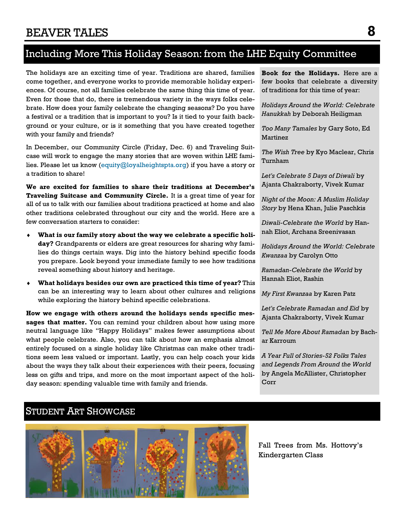## Including More This Holiday Season: from the LHE Equity Committee

The holidays are an exciting time of year. Traditions are shared, families come together, and everyone works to provide memorable holiday experiences. Of course, not all families celebrate the same thing this time of year. Even for those that do, there is tremendous variety in the ways folks celebrate. How does your family celebrate the changing seasons? Do you have a festival or a tradition that is important to you? Is it tied to your faith background or your culture, or is it something that you have created together with your family and friends?

In December, our Community Circle (Friday, Dec. 6) and Traveling Suitcase will work to engage the many stories that are woven within LHE families. Please let us know [\(equity@loyalheightspta.org\)](mailto:equity@loyalheightspta.org) if you have a story or a tradition to share!

**We are excited for families to share their traditions at December's Traveling Suitcase and Community Circle.** It is a great time of year for all of us to talk with our families about traditions practiced at home and also other traditions celebrated throughout our city and the world. Here are a few conversation starters to consider:

- **What is our family story about the way we celebrate a specific holiday?** Grandparents or elders are great resources for sharing why families do things certain ways. Dig into the history behind specific foods you prepare. Look beyond your immediate family to see how traditions reveal something about history and heritage.
- **What holidays besides our own are practiced this time of year?** This can be an interesting way to learn about other cultures and religions while exploring the history behind specific celebrations.

**How we engage with others around the holidays sends specific messages that matter.** You can remind your children about how using more neutral language like "Happy Holidays" makes fewer assumptions about what people celebrate. Also, you can talk about how an emphasis almost entirely focused on a single holiday like Christmas can make other traditions seem less valued or important. Lastly, you can help coach your kids about the ways they talk about their experiences with their peers, focusing less on gifts and trips, and more on the most important aspect of the holiday season: spending valuable time with family and friends.

**Book for the Holidays.** Here are a few books that celebrate a diversity of traditions for this time of year:

*Holidays Around the World: Celebrate Hanukkah* by Deborah Heiligman

*Too Many Tamales* by Gary Soto, Ed Martinez

*The Wish Tree* by Kyo Maclear, Chris Turnham

*Let's Celebrate 5 Days of Diwali* by Ajanta Chakraborty, Vivek Kumar

*Night of the Moon: A Muslim Holiday Story* by Hena Khan, Julie Paschkis

*Diwali-Celebrate the World* by Hannah Eliot, Archana Sreenivasan

*Holidays Around the World: Celebrate Kwanzaa* by Carolyn Otto

*Ramadan-Celebrate the World* by Hannah Eliot, Rashin

*My First Kwanzaa* by Karen Patz

*Let's Celebrate Ramadan and Eid* by Ajanta Chakraborty, Vivek Kumar

*Tell Me More About Ramadan* by Bachar Karroum

*A Year Full of Stories-52 Folks Tales and Legends From Around the World* by Angela McAllister, Christopher Corr

## STUDENT ART SHOWCASE



Fall Trees from Ms. Hottovy's Kindergarten Class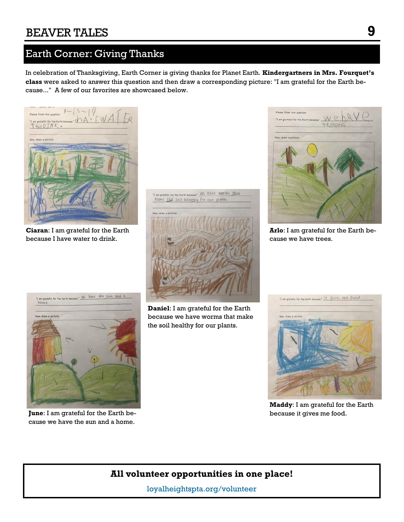## Earth Corner: Giving Thanks

In celebration of Thanksgiving, Earth Corner is giving thanks for Planet Earth. **Kindergartners in Mrs. Fourquet's class** were asked to answer this question and then draw a corresponding picture: "I am grateful for the Earth because..." A few of our favorites are showcased below.



**Ciaran**: I am grateful for the Earth because I have water to drink.



**Daniel**: I am grateful for the Earth because we have worms that make the soil healthy for our plants.



**Arlo**: I am grateful for the Earth because we have trees.



**June**: I am grateful for the Earth because we have the sun and a home.



**Maddy**: I am grateful for the Earth because it gives me food.

### **All volunteer opportunities in one place!**

[loyalheightspta.org/volunteer](http://www.loyalheightspta.org/volunteer)